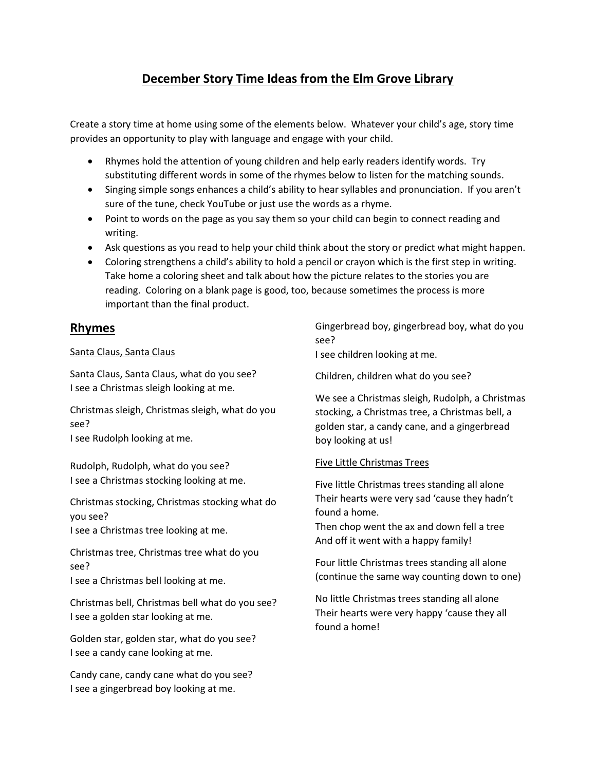# **December Story Time Ideas from the Elm Grove Library**

Create a story time at home using some of the elements below. Whatever your child's age, story time provides an opportunity to play with language and engage with your child.

- Rhymes hold the attention of young children and help early readers identify words. Try substituting different words in some of the rhymes below to listen for the matching sounds.
- Singing simple songs enhances a child's ability to hear syllables and pronunciation. If you aren't sure of the tune, check YouTube or just use the words as a rhyme.
- Point to words on the page as you say them so your child can begin to connect reading and writing.
- Ask questions as you read to help your child think about the story or predict what might happen.
- Coloring strengthens a child's ability to hold a pencil or crayon which is the first step in writing. Take home a coloring sheet and talk about how the picture relates to the stories you are reading. Coloring on a blank page is good, too, because sometimes the process is more important than the final product.

# **Rhymes**

### Santa Claus, Santa Claus

Santa Claus, Santa Claus, what do you see? I see a Christmas sleigh looking at me.

Christmas sleigh, Christmas sleigh, what do you see? I see Rudolph looking at me.

Rudolph, Rudolph, what do you see? I see a Christmas stocking looking at me.

Christmas stocking, Christmas stocking what do you see? I see a Christmas tree looking at me.

Christmas tree, Christmas tree what do you see?

I see a Christmas bell looking at me.

Christmas bell, Christmas bell what do you see? I see a golden star looking at me.

Golden star, golden star, what do you see? I see a candy cane looking at me.

Candy cane, candy cane what do you see? I see a gingerbread boy looking at me.

Gingerbread boy, gingerbread boy, what do you see?

I see children looking at me.

Children, children what do you see?

We see a Christmas sleigh, Rudolph, a Christmas stocking, a Christmas tree, a Christmas bell, a golden star, a candy cane, and a gingerbread boy looking at us!

## Five Little Christmas Trees

Five little Christmas trees standing all alone Their hearts were very sad 'cause they hadn't found a home.

Then chop went the ax and down fell a tree And off it went with a happy family!

Four little Christmas trees standing all alone (continue the same way counting down to one)

No little Christmas trees standing all alone Their hearts were very happy 'cause they all found a home!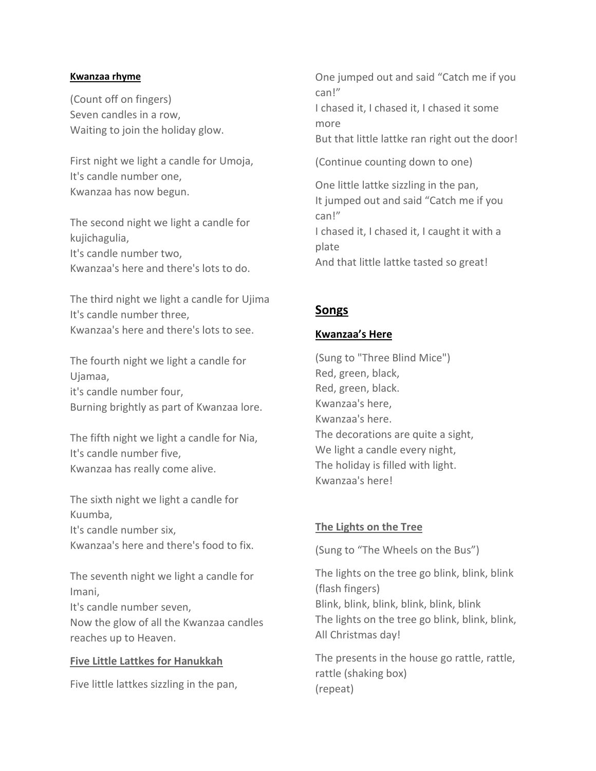#### **Kwanzaa rhyme**

(Count off on fingers) Seven candles in a row, Waiting to join the holiday glow.

First night we light a candle for Umoja, It's candle number one, Kwanzaa has now begun.

The second night we light a candle for kujichagulia, It's candle number two, Kwanzaa's here and there's lots to do.

The third night we light a candle for Ujima It's candle number three, Kwanzaa's here and there's lots to see.

The fourth night we light a candle for Ujamaa, it's candle number four, Burning brightly as part of Kwanzaa lore.

The fifth night we light a candle for Nia, It's candle number five, Kwanzaa has really come alive.

The sixth night we light a candle for Kuumba, It's candle number six, Kwanzaa's here and there's food to fix.

The seventh night we light a candle for Imani, It's candle number seven, Now the glow of all the Kwanzaa candles reaches up to Heaven.

### **Five Little Lattkes for Hanukkah**

Five little lattkes sizzling in the pan,

One jumped out and said "Catch me if you can!" I chased it, I chased it, I chased it some more But that little lattke ran right out the door! (Continue counting down to one)

One little lattke sizzling in the pan, It jumped out and said "Catch me if you can!" I chased it, I chased it, I caught it with a plate And that little lattke tasted so great!

# **Songs**

### **Kwanzaa's Here**

(Sung to "Three Blind Mice") Red, green, black, Red, green, black. Kwanzaa's here, Kwanzaa's here. The decorations are quite a sight, We light a candle every night, The holiday is filled with light. Kwanzaa's here!

## **The Lights on the Tree**

(Sung to "The Wheels on the Bus")

The lights on the tree go blink, blink, blink (flash fingers) Blink, blink, blink, blink, blink, blink The lights on the tree go blink, blink, blink, All Christmas day!

The presents in the house go rattle, rattle, rattle (shaking box) (repeat)